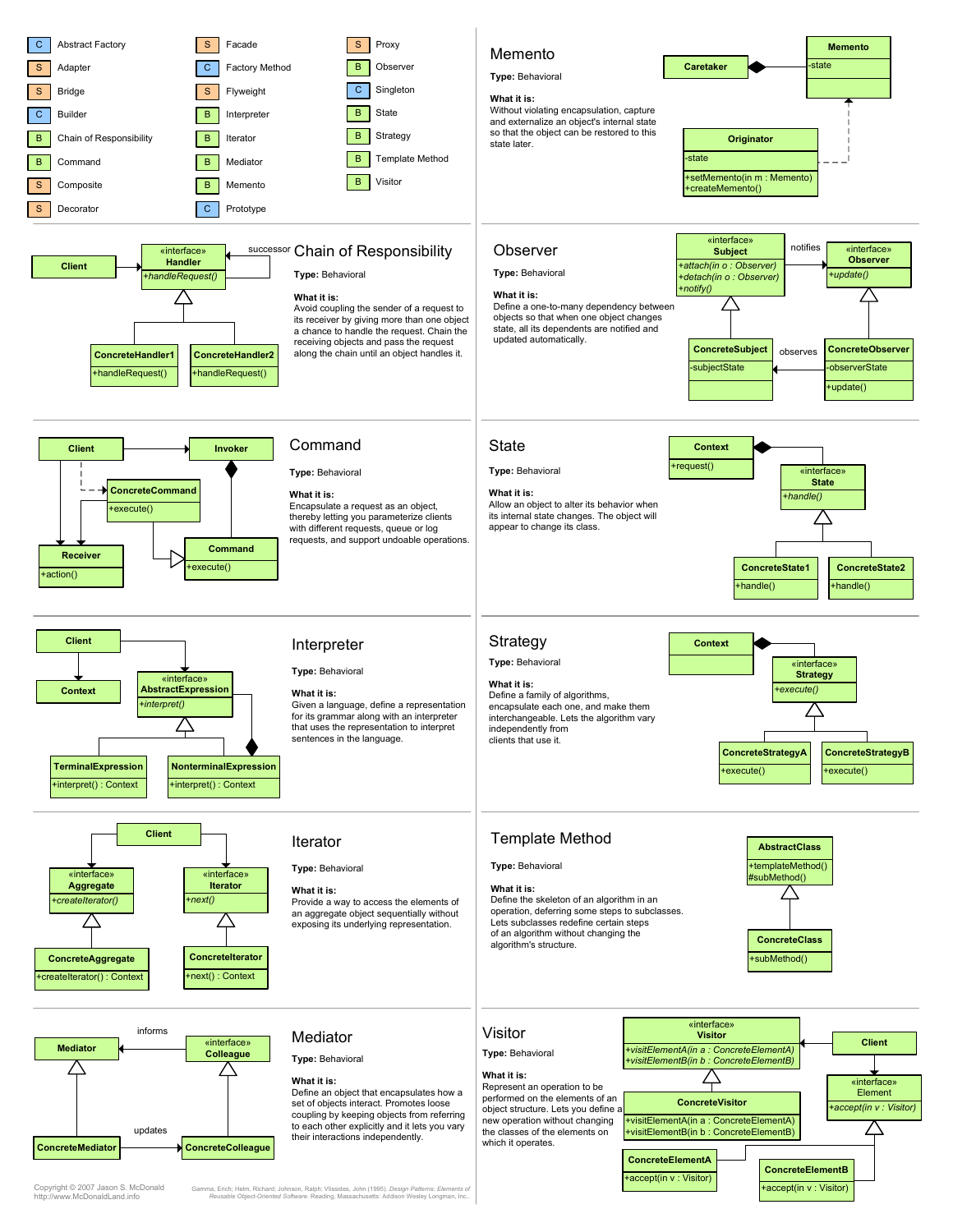

Copyright © 2007 Jason S. McDonald http://www.McDonaldLand.info

Gamma, Erich; Helm, Richard; Johnson, Ralph; Vlissides, John (1995). Design Patterns: Elements of<br>Reusable Object-Oriented Software. Reading, Massachusetts: Addison Wesley Longman, Inc..